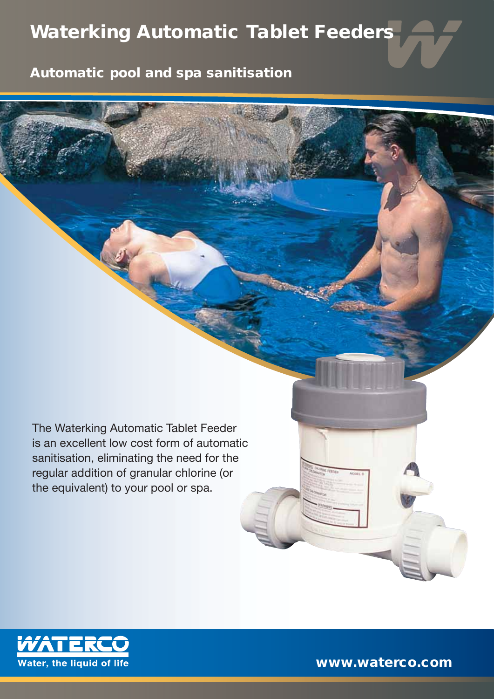## **Waterking Automatic Tablet Feeders**

**Automatic pool and spa sanitisation**

The Waterking Automatic Tablet Feeder is an excellent low cost form of automatic sanitisation, eliminating the need for the regular addition of granular chlorine (or the equivalent) to your pool or spa.



**www.waterco.com**